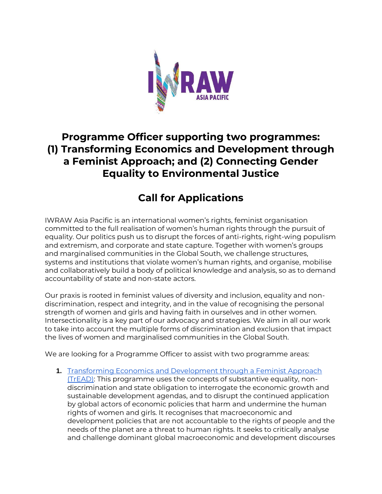

## **Programme Officer supporting two programmes: (1) Transforming Economics and Development through a Feminist Approach; and (2) Connecting Gender Equality to Environmental Justice**

# **Call for Applications**

IWRAW Asia Pacific is an international women's rights, feminist organisation committed to the full realisation of women's human rights through the pursuit of equality. Our politics push us to disrupt the forces of anti-rights, right-wing populism and extremism, and corporate and state capture. Together with women's groups and marginalised communities in the Global South, we challenge structures, systems and institutions that violate women's human rights, and organise, mobilise and collaboratively build a body of political knowledge and analysis, so as to demand accountability of state and non-state actors.

Our praxis is rooted in feminist values of diversity and inclusion, equality and nondiscrimination, respect and integrity, and in the value of recognising the personal strength of women and girls and having faith in ourselves and in other women. Intersectionality is a key part of our advocacy and strategies. We aim in all our work to take into account the multiple forms of discrimination and exclusion that impact the lives of women and marginalised communities in the Global South.

We are looking for a Programme Officer to assist with two programme areas:

**1.** [Transforming Economics and Development through a Feminist Approach](https://www.iwraw-ap.org/tread/)  [\(TrEAD\):](https://www.iwraw-ap.org/tread/) This programme uses the concepts of substantive equality, nondiscrimination and state obligation to interrogate the economic growth and sustainable development agendas, and to disrupt the continued application by global actors of economic policies that harm and undermine the human rights of women and girls. It recognises that macroeconomic and development policies that are not accountable to the rights of people and the needs of the planet are a threat to human rights. It seeks to critically analyse and challenge dominant global macroeconomic and development discourses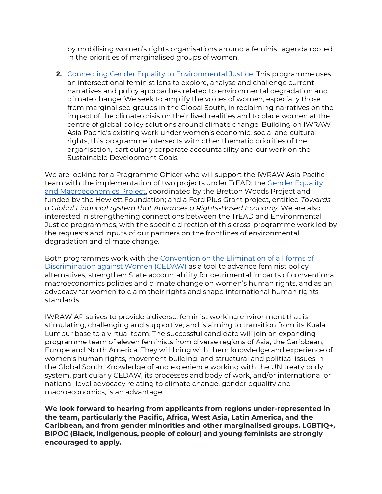by mobilising women's rights organisations around a feminist agenda rooted in the priorities of marginalised groups of women.

**2.** [Connecting Gender Equality to Environmental Justice:](https://www.iwraw-ap.org/environmental-justice/) This programme uses an intersectional feminist lens to explore, analyse and challenge current narratives and policy approaches related to environmental degradation and climate change. We seek to amplify the voices of women, especially those from marginalised groups in the Global South, in reclaiming narratives on the impact of the climate crisis on their lived realities and to place women at the centre of global policy solutions around climate change. Building on IWRAW Asia Pacific's existing work under women's economic, social and cultural rights, this programme intersects with other thematic priorities of the organisation, particularly corporate accountability and our work on the Sustainable Development Goals.

We are looking for a Programme Officer who will support the IWRAW Asia Pacific team with the implementation of two projects under TrEAD: the [Gender Equality](https://www.brettonwoodsproject.org/gender-equality-macroeconomics/)  [and Macroeconomics Project,](https://www.brettonwoodsproject.org/gender-equality-macroeconomics/) coordinated by the Bretton Woods Project and funded by the Hewlett Foundation; and a Ford Plus Grant project, entitled *Towards a Global Financial System that Advances a Rights-Based Economy*. We are also interested in strengthening connections between the TrEAD and Environmental Justice programmes, with the specific direction of this cross-programme work led by the requests and inputs of our partners on the frontlines of environmental degradation and climate change.

Both programmes work with the [Convention on the Elimination of all forms of](https://cedaw.iwraw-ap.org/)  [Discrimination against Women \(CEDAW\)](https://cedaw.iwraw-ap.org/) as a tool to advance feminist policy alternatives, strengthen State accountability for detrimental impacts of conventional macroeconomics policies and climate change on women's human rights, and as an advocacy for women to claim their rights and shape international human rights standards.

IWRAW AP strives to provide a diverse, feminist working environment that is stimulating, challenging and supportive; and is aiming to transition from its Kuala Lumpur base to a virtual team. The successful candidate will join an expanding programme team of eleven feminists from diverse regions of Asia, the Caribbean, Europe and North America. They will bring with them knowledge and experience of women's human rights, movement building, and structural and political issues in the Global South. Knowledge of and experience working with the UN treaty body system, particularly CEDAW, its processes and body of work, and/or international or national-level advocacy relating to climate change, gender equality and macroeconomics, is an advantage.

**We look forward to hearing from applicants from regions under-represented in the team, particularly the Pacific, Africa, West Asia, Latin America, and the Caribbean, and from gender minorities and other marginalised groups. LGBTIQ+, BIPOC (Black, Indigenous, people of colour) and young feminists are strongly encouraged to apply.**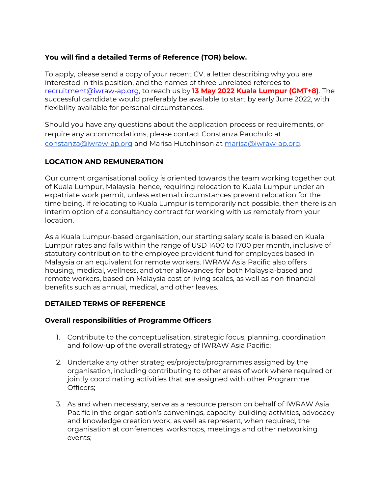### **You will find a detailed Terms of Reference (TOR) below.**

To apply, please send a copy of your recent CV, a letter describing why you are interested in this position, and the names of three unrelated referees to [recruitment@iwraw-ap.org,](mailto:recruitment@iwraw-ap.org) to reach us by **13 May 2022 Kuala Lumpur (GMT+8)**. The successful candidate would preferably be available to start by early June 2022, with flexibility available for personal circumstances.

Should you have any questions about the application process or requirements, or require any accommodations, please contact Constanza Pauchulo at [constanza@iwraw-ap.org](mailto:constanza@iwraw-ap.org) and Marisa Hutchinson at [marisa@iwraw-ap.org.](mailto:marisa@iwraw-ap.org)

## **LOCATION AND REMUNERATION**

Our current organisational policy is oriented towards the team working together out of Kuala Lumpur, Malaysia; hence, requiring relocation to Kuala Lumpur under an expatriate work permit, unless external circumstances prevent relocation for the time being. If relocating to Kuala Lumpur is temporarily not possible, then there is an interim option of a consultancy contract for working with us remotely from your location.

As a Kuala Lumpur-based organisation, our starting salary scale is based on Kuala Lumpur rates and falls within the range of USD 1400 to 1700 per month, inclusive of statutory contribution to the employee provident fund for employees based in Malaysia or an equivalent for remote workers. IWRAW Asia Pacific also offers housing, medical, wellness, and other allowances for both Malaysia-based and remote workers, based on Malaysia cost of living scales, as well as non-financial benefits such as annual, medical, and other leaves.

#### **DETAILED TERMS OF REFERENCE**

#### **Overall responsibilities of Programme Officers**

- 1. Contribute to the conceptualisation, strategic focus, planning, coordination and follow-up of the overall strategy of IWRAW Asia Pacific;
- 2. Undertake any other strategies/projects/programmes assigned by the organisation, including contributing to other areas of work where required or jointly coordinating activities that are assigned with other Programme Officers;
- 3. As and when necessary, serve as a resource person on behalf of IWRAW Asia Pacific in the organisation's convenings, capacity-building activities, advocacy and knowledge creation work, as well as represent, when required, the organisation at conferences, workshops, meetings and other networking events;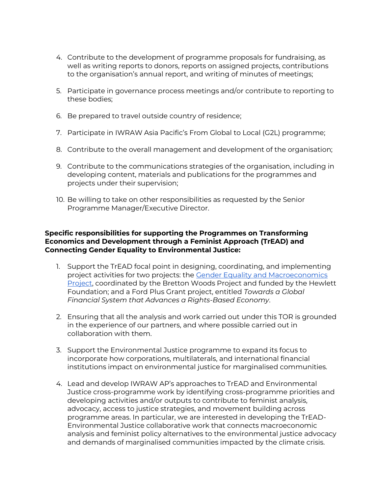- 4. Contribute to the development of programme proposals for fundraising, as well as writing reports to donors, reports on assigned projects, contributions to the organisation's annual report, and writing of minutes of meetings;
- 5. Participate in governance process meetings and/or contribute to reporting to these bodies;
- 6. Be prepared to travel outside country of residence;
- 7. Participate in IWRAW Asia Pacific's From Global to Local (G2L) programme;
- 8. Contribute to the overall management and development of the organisation;
- 9. Contribute to the communications strategies of the organisation, including in developing content, materials and publications for the programmes and projects under their supervision;
- 10. Be willing to take on other responsibilities as requested by the Senior Programme Manager/Executive Director.

#### **Specific responsibilities for supporting the Programmes on Transforming Economics and Development through a Feminist Approach (TrEAD) and Connecting Gender Equality to Environmental Justice:**

- 1. Support the TrEAD focal point in designing, coordinating, and implementing project activities for two projects: the [Gender Equality and Macroeconomics](https://www.brettonwoodsproject.org/gender-equality-macroeconomics/)  [Project,](https://www.brettonwoodsproject.org/gender-equality-macroeconomics/) coordinated by the Bretton Woods Project and funded by the Hewlett Foundation; and a Ford Plus Grant project, entitled *Towards a Global Financial System that Advances a Rights-Based Economy*.
- 2. Ensuring that all the analysis and work carried out under this TOR is grounded in the experience of our partners, and where possible carried out in collaboration with them.
- 3. Support the Environmental Justice programme to expand its focus to incorporate how corporations, multilaterals, and international financial institutions impact on environmental justice for marginalised communities.
- 4. Lead and develop IWRAW AP's approaches to TrEAD and Environmental Justice cross-programme work by identifying cross-programme priorities and developing activities and/or outputs to contribute to feminist analysis, advocacy, access to justice strategies, and movement building across programme areas. In particular, we are interested in developing the TrEAD-Environmental Justice collaborative work that connects macroeconomic analysis and feminist policy alternatives to the environmental justice advocacy and demands of marginalised communities impacted by the climate crisis.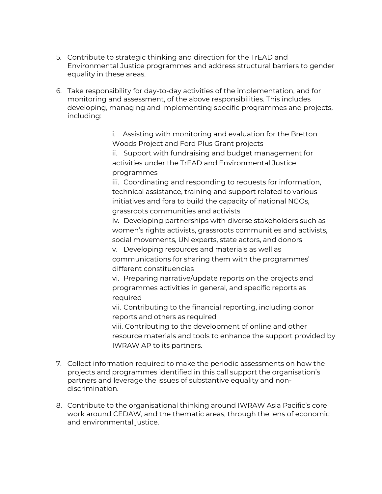- 5. Contribute to strategic thinking and direction for the TrEAD and Environmental Justice programmes and address structural barriers to gender equality in these areas.
- 6. Take responsibility for day-to-day activities of the implementation, and for monitoring and assessment, of the above responsibilities. This includes developing, managing and implementing specific programmes and projects, including:

i. Assisting with monitoring and evaluation for the Bretton Woods Project and Ford Plus Grant projects

ii. Support with fundraising and budget management for activities under the TrEAD and Environmental Justice programmes

iii. Coordinating and responding to requests for information, technical assistance, training and support related to various initiatives and fora to build the capacity of national NGOs, grassroots communities and activists

iv. Developing partnerships with diverse stakeholders such as women's rights activists, grassroots communities and activists, social movements, UN experts, state actors, and donors

v. Developing resources and materials as well as communications for sharing them with the programmes' different constituencies

vi. Preparing narrative/update reports on the projects and programmes activities in general, and specific reports as required

vii. Contributing to the financial reporting, including donor reports and others as required

viii. Contributing to the development of online and other resource materials and tools to enhance the support provided by IWRAW AP to its partners.

- 7. Collect information required to make the periodic assessments on how the projects and programmes identified in this call support the organisation's partners and leverage the issues of substantive equality and nondiscrimination.
- 8. Contribute to the organisational thinking around IWRAW Asia Pacific's core work around CEDAW, and the thematic areas, through the lens of economic and environmental justice.